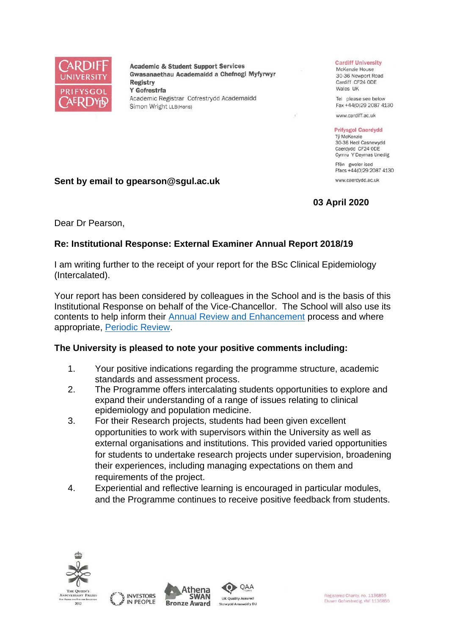

**Academic & Student Support Services** Gwasanaethau Academaidd a Chefnogi Myfyrwyr **Registry** Y Gofrestrfa Academic Registrar Cofrestrydd Academaidd Simon Wright LLB(Hons)

### **Cardiff University**

McKenzie House 30-36 Newport Road Cardiff CF24 ODE Wales UK

Tel please see below Fax +44(0)29 2087 4130

www.cardiff.ac.uk

### **Prifysgol Caerdydd**

Tỷ McKenzie 30-36 Heol Casnewydd Caerdydd CF24 ODE Cymru Y Deyrnas Unedig

Ffôn gweler isod Ffacs +44(0)29 2087 4130 www.caerdydd.ac.uk

**03 April 2020**

**Sent by email to gpearson@sgul.ac.uk**

Dear Dr Pearson,

# **Re: Institutional Response: External Examiner Annual Report 2018/19**

I am writing further to the receipt of your report for the BSc Clinical Epidemiology (Intercalated).

Your report has been considered by colleagues in the School and is the basis of this Institutional Response on behalf of the Vice-Chancellor. The School will also use its contents to help inform their [Annual Review and Enhancement](https://www.cardiff.ac.uk/public-information/quality-and-standards/monitoring-and-review/annual-review-and-enhancement) process and where appropriate, [Periodic Review.](http://www.cardiff.ac.uk/public-information/quality-and-standards/monitoring-and-review/periodic-review)

# **The University is pleased to note your positive comments including:**

- 1. Your positive indications regarding the programme structure, academic standards and assessment process.
- 2. The Programme offers intercalating students opportunities to explore and expand their understanding of a range of issues relating to clinical epidemiology and population medicine.
- 3. For their Research projects, students had been given excellent opportunities to work with supervisors within the University as well as external organisations and institutions. This provided varied opportunities for students to undertake research projects under supervision, broadening their experiences, including managing expectations on them and requirements of the project.
- 4. Experiential and reflective learning is encouraged in particular modules, and the Programme continues to receive positive feedback from students.